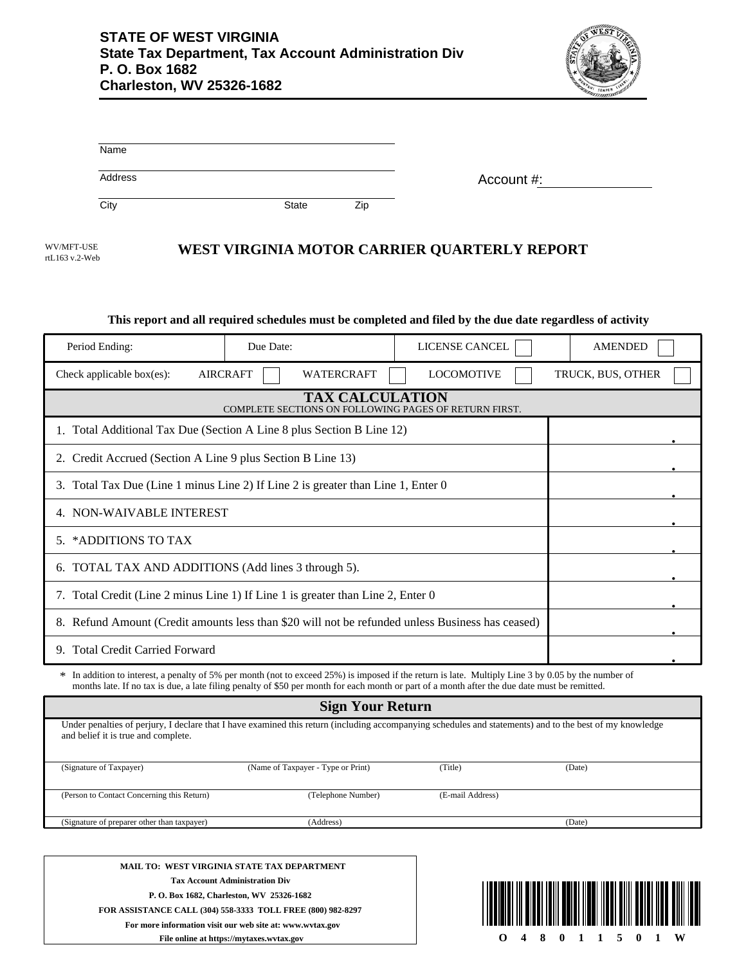

| Name    |       |     |            |
|---------|-------|-----|------------|
| Address |       |     | Account #: |
| City    | State | Zip |            |

| WV/MFT-USE     |  |
|----------------|--|
| rtL163 v.2-Web |  |

# **WEST VIRGINIA MOTOR CARRIER QUARTERLY REPORT**

#### **This report and all required schedules must be completed and filed by the due date regardless of activity**

| Period Ending:                                                                                                                                                                                                                                                                                       | Due Date:                            | LICENSE CANCEL    | <b>AMENDED</b>    |  |
|------------------------------------------------------------------------------------------------------------------------------------------------------------------------------------------------------------------------------------------------------------------------------------------------------|--------------------------------------|-------------------|-------------------|--|
| Check applicable box $(es)$ :                                                                                                                                                                                                                                                                        | <b>AIRCRAFT</b><br><b>WATERCRAFT</b> | <b>LOCOMOTIVE</b> | TRUCK, BUS, OTHER |  |
| <b>TAX CALCULATION</b><br>COMPLETE SECTIONS ON FOLLOWING PAGES OF RETURN FIRST.                                                                                                                                                                                                                      |                                      |                   |                   |  |
| 1. Total Additional Tax Due (Section A Line 8 plus Section B Line 12)                                                                                                                                                                                                                                |                                      |                   |                   |  |
| 2. Credit Accrued (Section A Line 9 plus Section B Line 13)                                                                                                                                                                                                                                          |                                      |                   |                   |  |
| 3. Total Tax Due (Line 1 minus Line 2) If Line 2 is greater than Line 1, Enter 0                                                                                                                                                                                                                     |                                      |                   |                   |  |
| 4. NON-WAIVABLE INTEREST                                                                                                                                                                                                                                                                             |                                      |                   |                   |  |
| 5. *ADDITIONS TO TAX                                                                                                                                                                                                                                                                                 |                                      |                   |                   |  |
| 6. TOTAL TAX AND ADDITIONS (Add lines 3 through 5).                                                                                                                                                                                                                                                  |                                      |                   |                   |  |
| Total Credit (Line 2 minus Line 1) If Line 1 is greater than Line 2, Enter 0<br>7.                                                                                                                                                                                                                   |                                      |                   |                   |  |
| 8. Refund Amount (Credit amounts less than \$20 will not be refunded unless Business has ceased)                                                                                                                                                                                                     |                                      |                   |                   |  |
| <b>Total Credit Carried Forward</b><br>9.                                                                                                                                                                                                                                                            |                                      |                   |                   |  |
| * In addition to interest, a penalty of 5% per month (not to exceed 25%) is imposed if the return is late. Multiply Line 3 by 0.05 by the number of<br>months late. If no tax is due, a late filing penalty of \$50 per month for each month or part of a month after the due date must be remitted. |                                      |                   |                   |  |

| <b>Sign Your Return</b>                                                                                                                                                                         |                                    |                  |        |  |
|-------------------------------------------------------------------------------------------------------------------------------------------------------------------------------------------------|------------------------------------|------------------|--------|--|
| Under penalties of perjury, I declare that I have examined this return (including accompanying schedules and statements) and to the best of my knowledge<br>and belief it is true and complete. |                                    |                  |        |  |
| (Signature of Taxpayer)                                                                                                                                                                         | (Name of Taxpayer - Type or Print) | (Title)          | (Date) |  |
|                                                                                                                                                                                                 |                                    |                  |        |  |
| (Person to Contact Concerning this Return)                                                                                                                                                      | (Telephone Number)                 | (E-mail Address) |        |  |
|                                                                                                                                                                                                 |                                    |                  |        |  |
| (Signature of preparer other than taxpayer)                                                                                                                                                     | (Address)                          |                  | (Date) |  |
|                                                                                                                                                                                                 |                                    |                  |        |  |
|                                                                                                                                                                                                 |                                    |                  |        |  |
|                                                                                                                                                                                                 |                                    |                  |        |  |

**MAIL TO: WEST VIRGINIA STATE TAX DEPARTMENT Tax Account Administration Div P. O. Box 1682, Charleston, WV 25326-1682 FOR ASSISTANCE CALL (304) 558-3333 TOLL FREE (800) 982-8297 For more information visit our web site at: www.wvtax.gov File online at https://mytaxes.wvtax.gov**